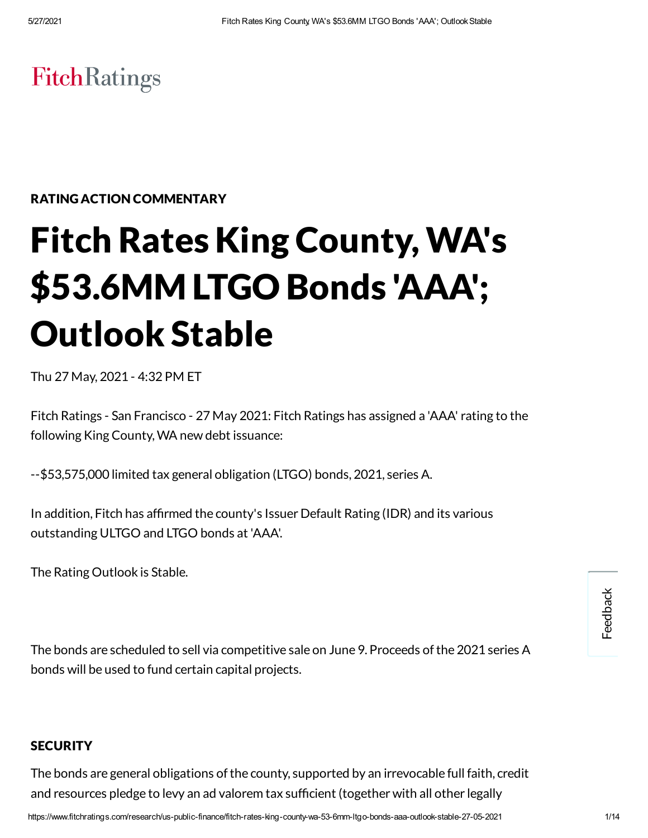# **FitchRatings**

#### RATING ACTION COMMENTARY

# Fitch Rates King County,WA's \$53.6MM LTGO Bonds 'AAA'; Outlook Stable

Thu 27 May, 2021 - 4:32 PM ET

Fitch Ratings - San Francisco - 27 May 2021: Fitch Ratings has assigned a 'AAA' rating to the following King County,WA new debt issuance:

--\$53,575,000 limited tax general obligation (LTGO) bonds, 2021, series A.

In addition, Fitch has affirmed the county's Issuer Default Rating (IDR) and its various outstanding ULTGO and LTGO bonds at 'AAA'.

The Rating Outlook is Stable.

The bonds are scheduled to sell via competitive sale on June 9. Proceeds of the 2021 series A bonds will be used to fund certain capital projects.

#### **SECURITY**

The bonds are general obligations of the county, supported by an irrevocable full faith, credit and resources pledge to levy an ad valorem tax sufficient (together with all other legally

Feedback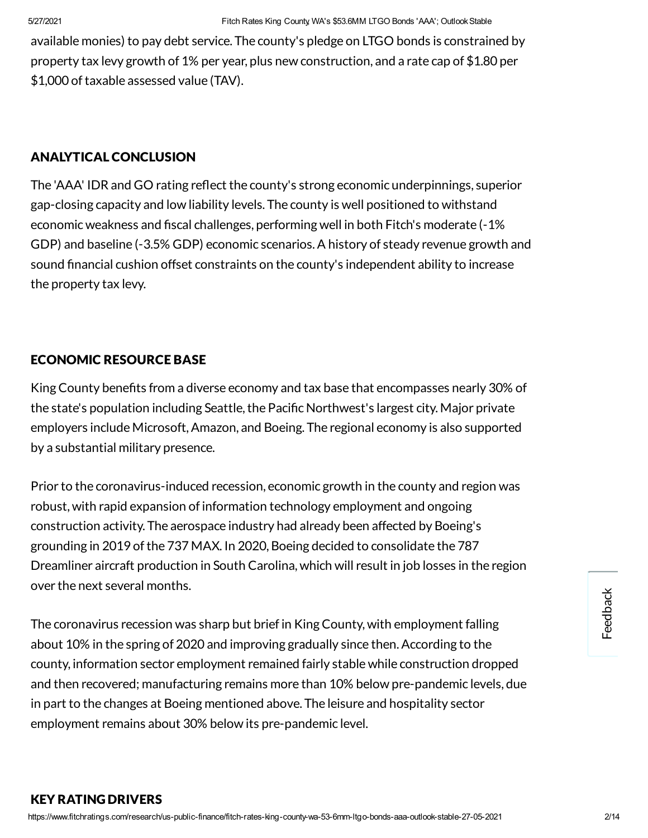available monies) to pay debt service. The county's pledge on LTGO bonds is constrained by property tax levy growth of 1% per year, plus new construction, and a rate cap of \$1.80 per \$1,000 of taxable assessed value (TAV).

#### ANALYTICAL CONCLUSION

The 'AAA' IDR and GO rating reflect the county's strong economic underpinnings, superior gap-closing capacity and low liability levels. The county is well positioned to withstand economic weakness and fiscal challenges, performing well in both Fitch's moderate (-1% GDP) and baseline (-3.5% GDP) economic scenarios.A history of steady revenue growth and sound financial cushion offset constraints on the county's independent ability to increase the property tax levy.

#### ECONOMIC RESOURCE BASE

King County benefits from a diverse economy and tax base that encompasses nearly 30% of the state's population including Seattle, the Pacific Northwest's largest city. Major private employers include Microsoft,Amazon, and Boeing. The regional economy is also supported by a substantial military presence.

Prior to the coronavirus-induced recession, economic growth in the county and region was robust, with rapid expansion of information technology employment and ongoing construction activity. The aerospace industry had already been affected by Boeing's grounding in 2019 ofthe 737 MAX. In 2020, Boeing decided to consolidate the 787 Dreamliner aircraft production in South Carolina, which will result in job losses in the region over the next several months.

The coronavirus recession was sharp but brief in King County, with employment falling about 10% in the spring of 2020 and improving gradually since then. According to the county, information sector employment remained fairly stable while construction dropped and then recovered; manufacturing remains more than 10% below pre-pandemic levels, due in part to the changes at Boeing mentioned above. The leisure and hospitality sector employment remains about 30% below its pre-pandemic level.

#### KEY RATING DRIVERS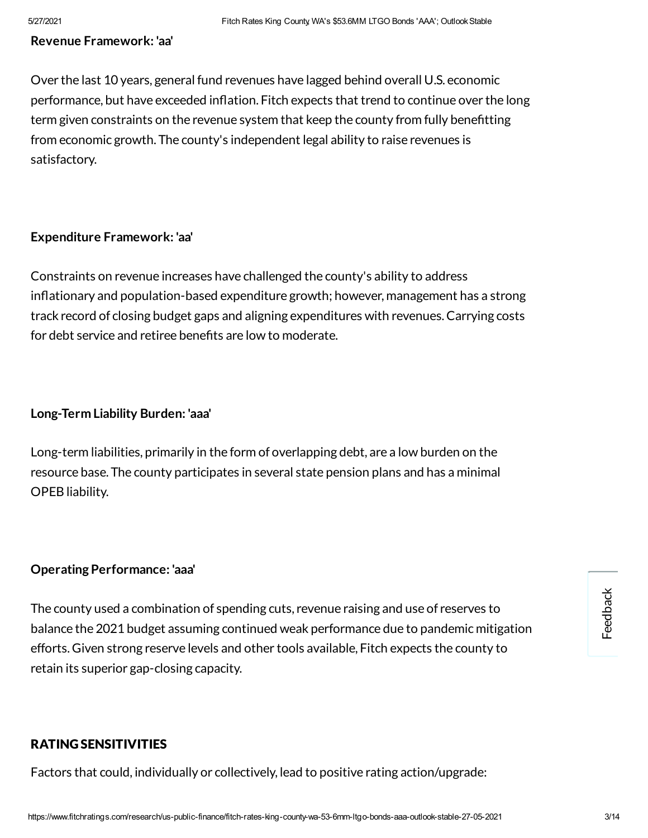#### **Revenue Framework: 'aa'**

Over the last 10 years, general fund revenues have lagged behind overall U.S. economic performance, but have exceeded inflation. Fitch expects that trend to continue over the long term given constraints on the revenue system that keep the county from fully benefitting from economic growth. The county's independent legal ability to raise revenues is satisfactory.

#### **Expenditure Framework: 'aa'**

Constraints on revenue increases have challenged the county's ability to address inflationary and population-based expenditure growth; however, management has a strong track record of closing budget gaps and aligning expenditures with revenues.Carrying costs for debt service and retiree benefits are low to moderate.

#### **Long-Term Liability Burden: 'aaa'**

Long-term liabilities, primarily in the form of overlapping debt, are a low burden on the resource base. The county participates in several state pension plans and has a minimal OPEB liability.

#### **Operating Performance: 'aaa'**

The county used a combination of spending cuts, revenue raising and use of reserves to balance the 2021 budget assuming continued weak performance due to pandemic mitigation efforts. Given strong reserve levels and other tools available, Fitch expects the county to retain its superior gap-closing capacity.

#### RATING SENSITIVITIES

Factors that could, individually or collectively, lead to positive rating action/upgrade: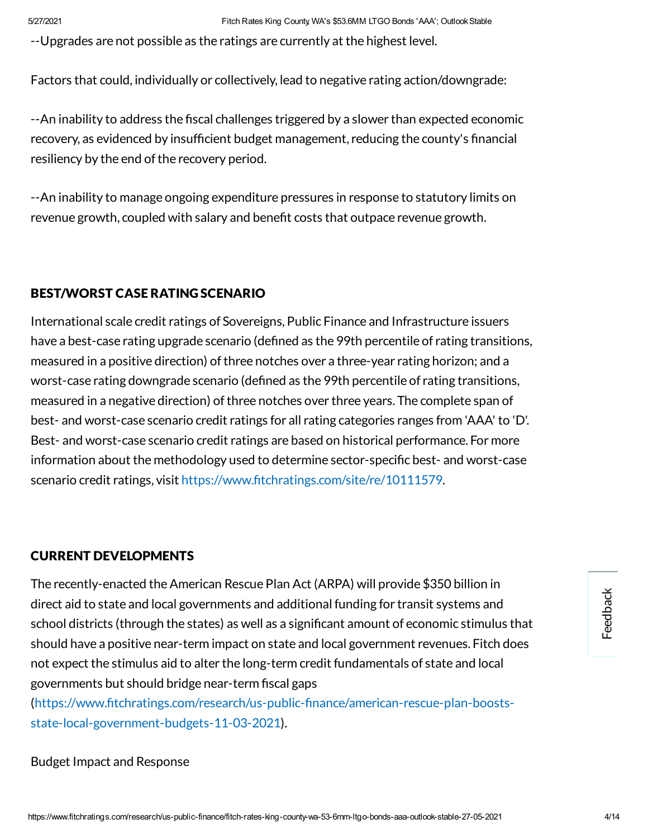--Upgrades are not possible as the ratings are currently at the highest level.

Factors that could, individually or collectively, lead to negative rating action/downgrade:

--An inability to address the fiscal challenges triggered by a slower than expected economic recovery, as evidenced by insufficient budget management, reducing the county's financial resiliency by the end of the recovery period.

--An inability to manage ongoing expenditure pressures in response to statutory limits on revenue growth, coupled with salary and benefit costs that outpace revenue growth.

#### BEST/WORST CASE RATING SCENARIO

International scale credit ratings of Sovereigns, Public Finance and Infrastructure issuers have a best-case rating upgrade scenario (defined as the 99th percentile of rating transitions, measured in a positive direction) of three notches over a three-year rating horizon; and a worst-case rating downgrade scenario (defined as the 99th percentile of rating transitions, measured in a negative direction) of three notches over three years. The complete span of best- and worst-case scenario credit ratings for all rating categories ranges from 'AAA' to 'D'. Best- and worst-case scenario credit ratings are based on historical performance. For more information about the methodology used to determine sector-specific best- and worst-case scenario credit ratings, visit https://www.fitchratings.com/site/re/10111579.

#### CURRENT DEVELOPMENTS

The recently-enacted the American Rescue Plan Act (ARPA) will provide \$350 billion in direct aid to state and local governments and additional funding for transit systems and school districts (through the states) as well as a significant amount of economic stimulus that should have a positive near-term impact on state and local government revenues. Fitch does not expect the stimulus aid to alter the long-term credit fundamentals of state and local governments but should bridge near-term fiscal gaps

(https://www.fitchratings.com/research/us-public-finance/american-rescue-plan-boostsstate-local-government-budgets-11-03-2021).

Budget Impact and Response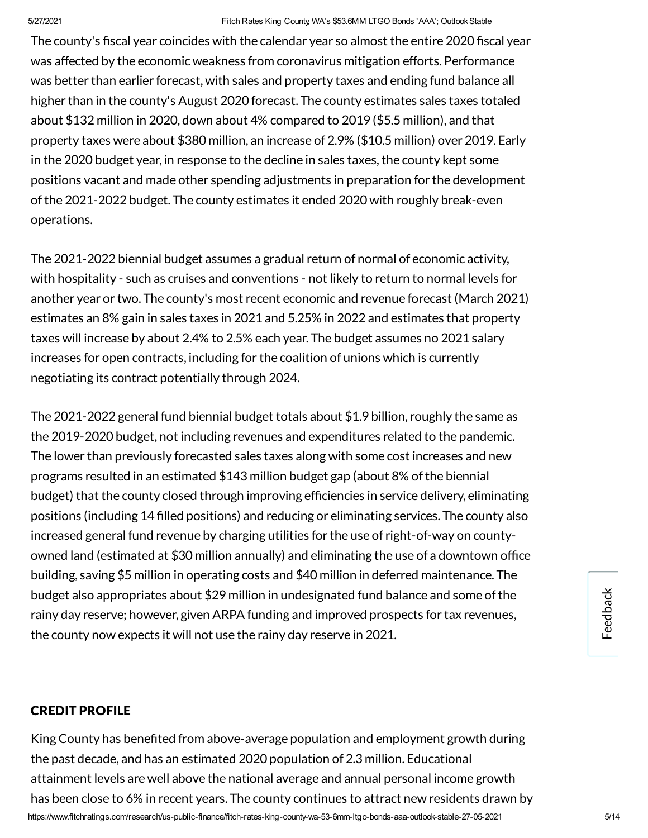#### 5/27/2021 Fitch Rates King County, WA's \$53.6MM LTGO Bonds 'AAA'; OutlookStable

The county's fiscal year coincides with the calendar year so almost the entire 2020 fiscal year was affected by the economic weakness from coronavirus mitigation efforts. Performance was better than earlier forecast, with sales and property taxes and ending fund balance all higher than in the county's August 2020 forecast. The county estimates sales taxes totaled about \$132 million in 2020, down about 4% compared to 2019 (\$5.5 million), and that property taxes were about \$380 million, an increase of 2.9% (\$10.5 million) over 2019. Early in the 2020 budget year, in response to the decline in sales taxes, the county kept some positions vacant and made other spending adjustments in preparation for the development ofthe 2021-2022 budget. The county estimates it ended 2020 with roughly break-even operations.

The 2021-2022 biennial budget assumes a gradual return of normal of economic activity, with hospitality - such as cruises and conventions - not likely to return to normal levels for another year or two. The county's most recent economic and revenue forecast (March 2021) estimates an 8% gain in sales taxes in 2021 and 5.25% in 2022 and estimates that property taxes will increase by about 2.4% to 2.5% each year. The budget assumes no 2021 salary increases for open contracts, including for the coalition of unions which is currently negotiating its contract potentially through 2024.

The 2021-2022 general fund biennial budget totals about \$1.9 billion, roughly the same as the 2019-2020 budget, not including revenues and expenditures related to the pandemic. The lower than previously forecasted sales taxes along with some cost increases and new programs resulted in an estimated \$143 million budget gap (about 8% ofthe biennial budget) that the county closed through improving efficiencies in service delivery, eliminating positions (including 14 filled positions) and reducing or eliminating services. The county also increased general fund revenue by charging utilities for the use of right-of-way on countyowned land (estimated at \$30 million annually) and eliminating the use of a downtown office building, saving \$5 million in operating costs and \$40 million in deferred maintenance. The budget also appropriates about \$29 million in undesignated fund balance and some ofthe rainy day reserve; however, given ARPA funding and improved prospects for tax revenues, the county now expects it will not use the rainy day reserve in 2021.

#### CREDIT PROFILE

https://www.fitchratings.com/research/us-public-finance/fitch-rates-king-county-wa-53-6mm-ltgo-bonds-aaa-outlook-stable-27-05-2021 5/14 King County has benefited from above-average population and employment growth during the past decade, and has an estimated 2020 population of 2.3 million. Educational attainment levels are well above the national average and annual personal income growth has been close to 6% in recent years. The county continues to attract new residents drawn by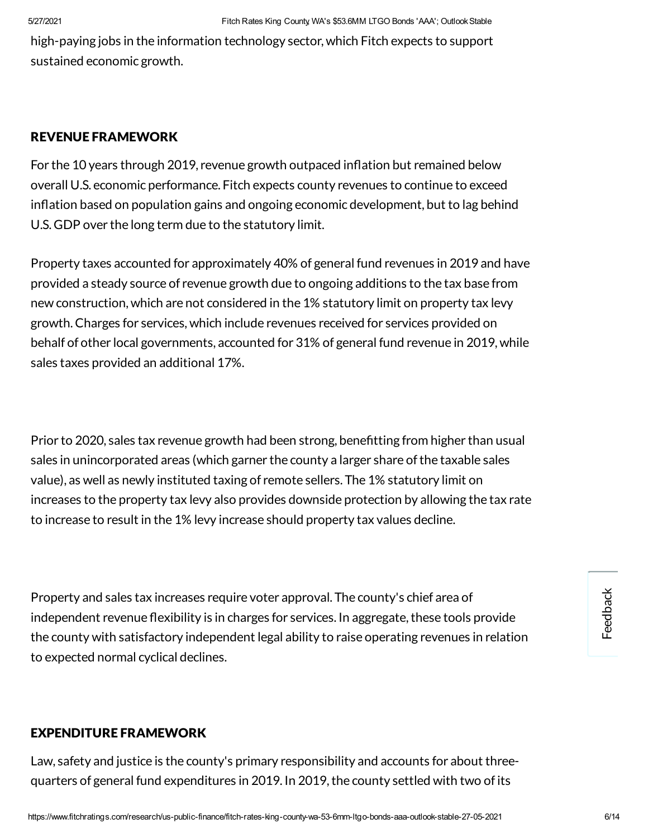high-paying jobs in the information technology sector, which Fitch expects to support sustained economic growth.

#### REVENUE FRAMEWORK

For the 10 years through 2019, revenue growth outpaced inflation but remained below overall U.S. economic performance. Fitch expects county revenues to continue to exceed inflation based on population gains and ongoing economic development, but to lag behind U.S. GDP over the long term due to the statutory limit.

Property taxes accounted for approximately 40% of general fund revenues in 2019 and have provided a steady source of revenue growth due to ongoing additions to the tax base from new construction, which are not considered in the 1% statutory limit on property tax levy growth.Charges for services, which include revenues received for services provided on behalf of other local governments, accounted for 31% of general fund revenue in 2019, while sales taxes provided an additional 17%.

Prior to 2020, sales tax revenue growth had been strong, benefitting from higher than usual sales in unincorporated areas (which garner the county a larger share of the taxable sales value), as well as newly instituted taxing of remote sellers. The 1% statutory limit on increases to the property tax levy also provides downside protection by allowing the tax rate to increase to result in the 1% levy increase should property tax values decline.

Property and sales tax increases require voter approval. The county's chief area of independent revenue flexibility is in charges for services. In aggregate, these tools provide the county with satisfactory independent legal ability to raise operating revenues in relation to expected normal cyclical declines.

#### EXPENDITURE FRAMEWORK

Law, safety and justice is the county's primary responsibility and accounts for about threequarters of general fund expenditures in 2019. In 2019, the county settled with two of its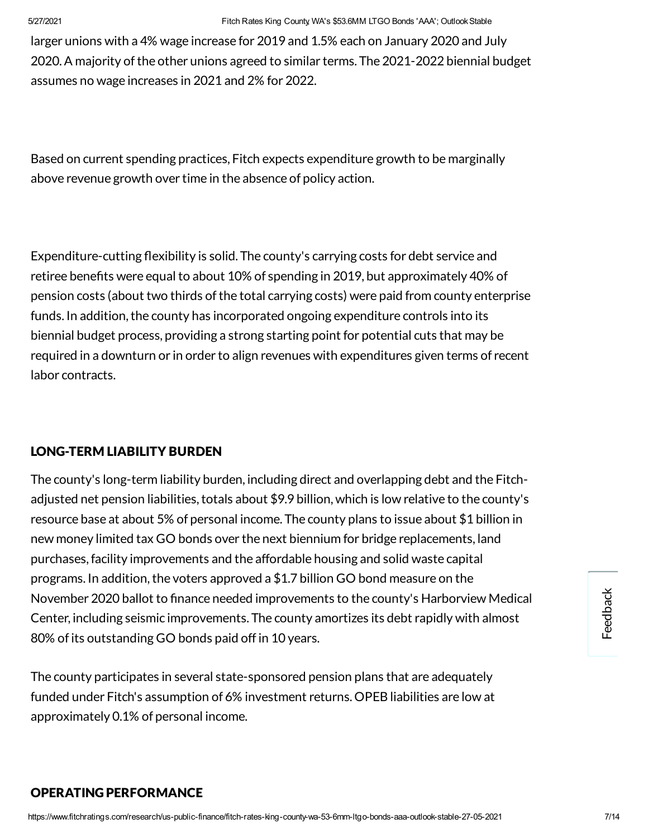larger unions with a 4% wage increase for 2019 and 1.5% each on January 2020 and July 2020. A majority of the other unions agreed to similar terms. The 2021-2022 biennial budget assumes no wage increases in 2021 and 2% for 2022.

Based on current spending practices, Fitch expects expenditure growth to be marginally above revenue growth over time in the absence of policy action.

Expenditure-cutting flexibility is solid. The county's carrying costs for debt service and retiree benefits were equal to about 10% of spending in 2019, but approximately 40% of pension costs (about two thirds of the total carrying costs) were paid from county enterprise funds. In addition, the county has incorporated ongoing expenditure controls into its biennial budget process, providing a strong starting point for potential cuts that may be required in a downturn or in order to align revenues with expenditures given terms of recent labor contracts.

#### LONG-TERM LIABILITY BURDEN

The county's long-term liability burden, including direct and overlapping debt and the Fitchadjusted net pension liabilities, totals about \$9.9 billion, which is low relative to the county's resource base at about 5% of personal income. The county plans to issue about \$1 billion in new money limited tax GO bonds over the next biennium for bridge replacements, land purchases,facility improvements and the affordable housing and solid waste capital programs. In addition, the voters approved a \$1.7 billion GO bond measure on the November 2020 ballot to finance needed improvements to the county's Harborview Medical Center, including seismic improvements. The county amortizes its debt rapidly with almost 80% of its outstanding GO bonds paid off in 10 years.

The county participates in several state-sponsored pension plans that are adequately funded under Fitch's assumption of 6% investment returns. OPEB liabilities are low at approximately 0.1% of personal income.

#### OPERATING PERFORMANCE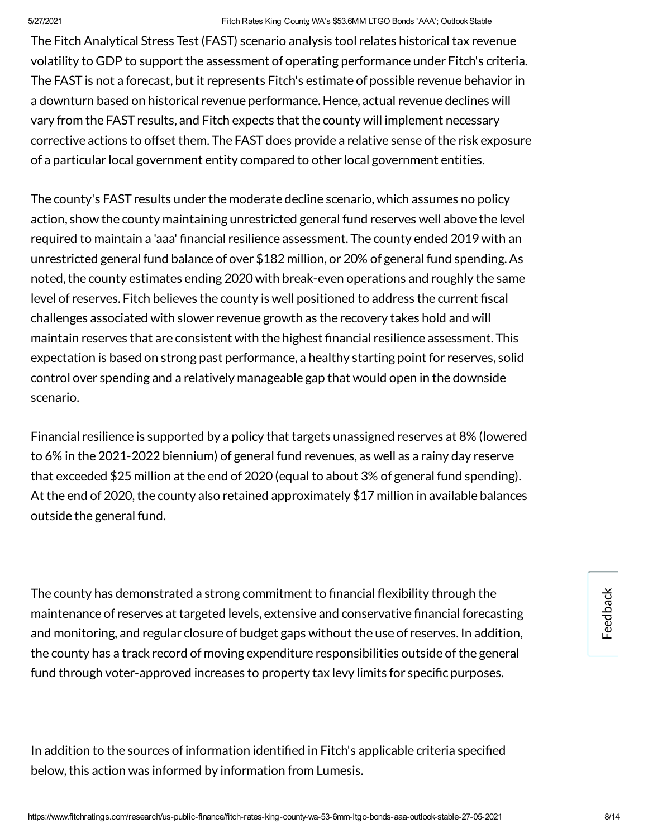#### 5/27/2021 Fitch Rates King County, WA's \$53.6MM LTGO Bonds 'AAA'; OutlookStable

The Fitch Analytical Stress Test (FAST) scenario analysis tool relates historicaltax revenue volatility to GDP to support the assessment of operating performance under Fitch's criteria. The FAST is not a forecast, but it represents Fitch's estimate of possible revenue behavior in a downturn based on historical revenue performance. Hence, actual revenue declines will vary from the FAST results, and Fitch expects that the county will implement necessary corrective actions to offset them. The FAST does provide a relative sense of the risk exposure of a particular local government entity compared to other local government entities.

The county's FAST results under the moderate decline scenario, which assumes no policy action, show the county maintaining unrestricted general fund reserves well above the level required to maintain a 'aaa' financial resilience assessment. The county ended 2019 with an unrestricted general fund balance of over \$182 million, or 20% of general fund spending.As noted, the county estimates ending 2020 with break-even operations and roughly the same level of reserves. Fitch believes the county is well positioned to address the current fiscal challenges associated with slower revenue growth as the recovery takes hold and will maintain reserves that are consistent with the highest financial resilience assessment. This expectation is based on strong past performance, a healthy starting point for reserves, solid control over spending and a relatively manageable gap that would open in the downside scenario.

Financial resilience is supported by a policy that targets unassigned reserves at 8% (lowered to 6% in the 2021-2022 biennium) of general fund revenues, as well as a rainy day reserve that exceeded \$25 million at the end of 2020 (equal to about 3% of general fund spending). At the end of 2020, the county also retained approximately \$17 million in available balances outside the general fund.

The county has demonstrated a strong commitment to financial flexibility through the maintenance of reserves at targeted levels, extensive and conservative financial forecasting and monitoring, and regular closure of budget gaps without the use of reserves. In addition, the county has a track record of moving expenditure responsibilities outside ofthe general fund through voter-approved increases to property tax levy limits for specific purposes.

In addition to the sources of information identified in Fitch's applicable criteria specified below, this action was informed by information from Lumesis.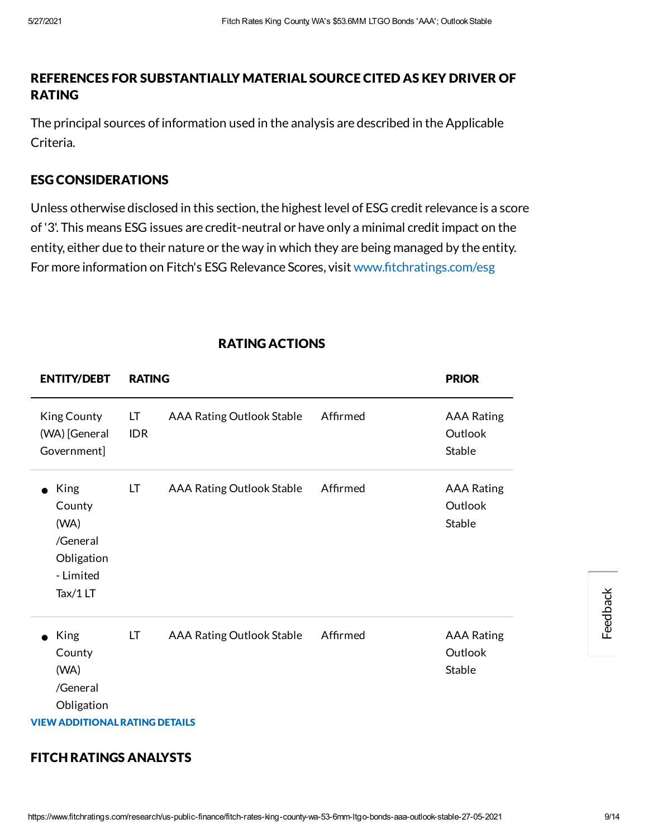#### REFERENCES FOR SUBSTANTIALLY MATERIAL SOURCE CITED AS KEY DRIVER OF RATING

The principal sources of information used in the analysis are described in the Applicable Criteria.

#### ESG CONSIDERATIONS

Unless otherwise disclosed in this section, the highest level of ESG credit relevance is a score of'3'. This means ESG issues are credit-neutral or have only a minimal credit impact on the entity, either due to their nature or the way in which they are being managed by the entity. For more information on Fitch's ESG Relevance Scores, visit www.fitchratings.com/esg

| <b>ENTITY/DEBT</b>                                                                                     | <b>RATING</b>    |                                  |          | <b>PRIOR</b>                           |          |
|--------------------------------------------------------------------------------------------------------|------------------|----------------------------------|----------|----------------------------------------|----------|
| <b>King County</b><br>(WA) [General<br>Government]                                                     | LT<br><b>IDR</b> | <b>AAA Rating Outlook Stable</b> | Affirmed | <b>AAA Rating</b><br>Outlook<br>Stable |          |
| King<br>$\bullet$<br>County<br>(WA)<br>/General<br>Obligation<br>- Limited<br>Tax/1LT                  | LT               | <b>AAA Rating Outlook Stable</b> | Affirmed | <b>AAA Rating</b><br>Outlook<br>Stable | Feedback |
| King<br>$\bullet$<br>County<br>(WA)<br>/General<br>Obligation<br><b>VIEW ADDITIONAL RATING DETAILS</b> | LT               | <b>AAA Rating Outlook Stable</b> | Affirmed | <b>AAA Rating</b><br>Outlook<br>Stable |          |

#### RATING ACTIONS

#### FITCH RATINGS ANALYSTS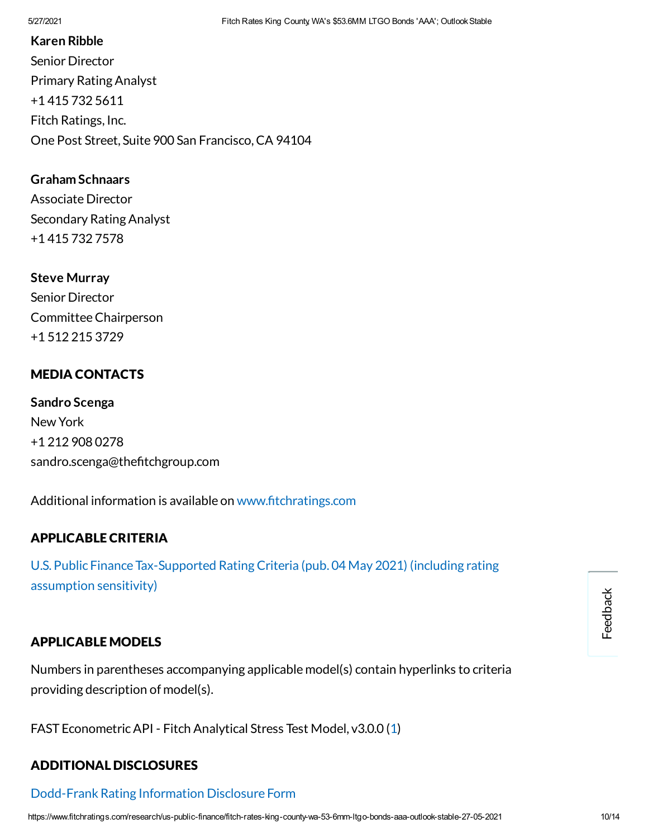#### **Karen Ribble**

Senior Director Primary Rating Analyst +1 415 732 5611 Fitch Ratings, Inc. One Post Street, Suite 900 San Francisco,CA 94104

#### **Graham Schnaars**

Associate Director Secondary Rating Analyst +1 415 732 7578

**Steve Murray** Senior Director CommitteeChairperson +1 512 215 3729

#### MEDIA CONTACTS

**Sandro Scenga** New York +1 212 908 0278 sandro.scenga@thefitchgroup.com

Additional information is available on www.fitchratings.com

#### APPLICABLE CRITERIA

U.S. Public Finance [Tax-Supported](https://www.fitchratings.com/research/us-public-finance/us-public-finance-tax-supported-rating-criteria-04-05-2021) Rating Criteria (pub. 04 May 2021) (including rating assumption sensitivity)

#### APPLICABLE MODELS

Numbers in parentheses accompanying applicable model(s) contain hyperlinks to criteria providing description of model(s).

FAST EconometricAPI - Fitch Analytical Stress Test Model, v3.0.0 ([1\)](https://www.fitchratings.com/research/us-public-finance/us-public-finance-tax-supported-rating-criteria-04-05-2021)

#### ADDITIONAL DISCLOSURES

### [Dodd-Frank](https://www.fitchratings.com/research/us-public-finance/fitch-rates-king-county-wa-53-6mm-ltgo-bonds-aaa-outlook-stable-27-05-2021/dodd-frank-disclosure) Rating Information Disclosure Form

Feedback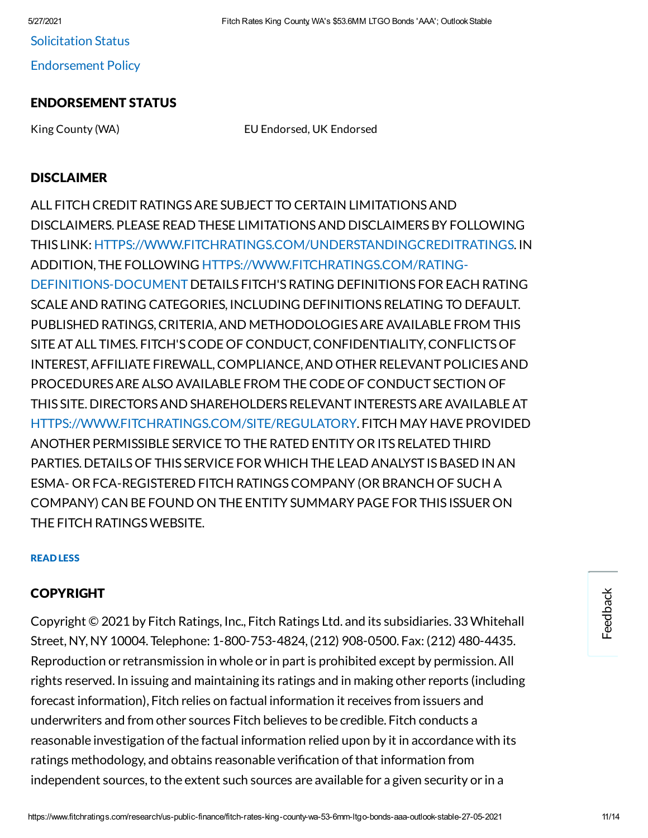5/27/2021 Fitch Rates King County, WA's \$53.6MM LTGO Bonds 'AAA'; OutlookStable

[Endorsement](#page-12-0) Policy

## ENDORSEMENT STATUS

King County (WA) EU Endorsed, UK Endorsed

### DISCLAIMER

ALL FITCH CREDITRATINGSARE SUBJECT TO CERTAIN LIMITATIONSAND DISCLAIMERS. PLEASE READ THESE LIMITATIONSAND DISCLAIMERSBY FOLLOWING THIS LINK: [HTTPS://WWW.FITCHRATINGS.COM/UNDERSTANDINGCREDITRATINGS.](https://www.fitchratings.com/UNDERSTANDINGCREDITRATINGS) IN ADDITION, THE FOLLOWING [HTTPS://WWW.FITCHRATINGS.COM/RATING-](https://www.fitchratings.com/rating-definitions-document)DEFINITIONS-DOCUMENT DETAILS FITCH'SRATING DEFINITIONS FOR EACH RATING SCALE AND RATING CATEGORIES, INCLUDING DEFINITIONS RELATING TO DEFAULT. PUBLISHED RATINGS,CRITERIA,AND METHODOLOGIESAREAVAILABLE FROM THIS SITEATALL TIMES. FITCH'SCODE OF CONDUCT,CONFIDENTIALITY,CONFLICTSOF INTEREST,AFFILIATE FIREWALL,COMPLIANCE,AND OTHER RELEVANT POLICIESAND PROCEDURESAREALSO AVAILABLE FROM THECODE OF CONDUCT SECTION OF THIS SITE. DIRECTORSAND SHAREHOLDERSRELEVANT INTERESTSAREAVAILABLEAT [HTTPS://WWW.FITCHRATINGS.COM/SITE/REGULATORY](https://www.fitchratings.com/site/regulatory). FITCH MAY HAVE PROVIDED ANOTHER PERMISSIBLE SERVICE TO THE RATED ENTITY OR ITSRELATED THIRD PARTIES. DETAILS OF THIS SERVICE FOR WHICH THE LEAD ANALYST IS BASED IN AN ESMA- OR FCA-REGISTERED FITCH RATINGSCOMPANY (OR BRANCH OF SUCH A COMPANY) CAN BE FOUND ON THE ENTITY SUMMARY PAGE FOR THIS ISSUER ON THE FITCH RATINGSWEBSITE.

#### READ LESS

# COPYRIGHT

Copyright © 2021 by Fitch Ratings, Inc., Fitch Ratings Ltd. and its subsidiaries. 33 Whitehall Street, NY, NY 10004. Telephone: 1-800-753-4824, (212) 908-0500. Fax: (212) 480-4435. Reproduction or retransmission in whole or in part is prohibited except by permission.All rights reserved. In issuing and maintaining its ratings and in making other reports (including forecast information), Fitch relies on factual information it receives from issuers and underwriters and from other sources Fitch believes to be credible. Fitch conducts a reasonable investigation of the factual information relied upon by it in accordance with its ratings methodology, and obtains reasonable verification of that information from independent sources, to the extent such sources are available for a given security or in a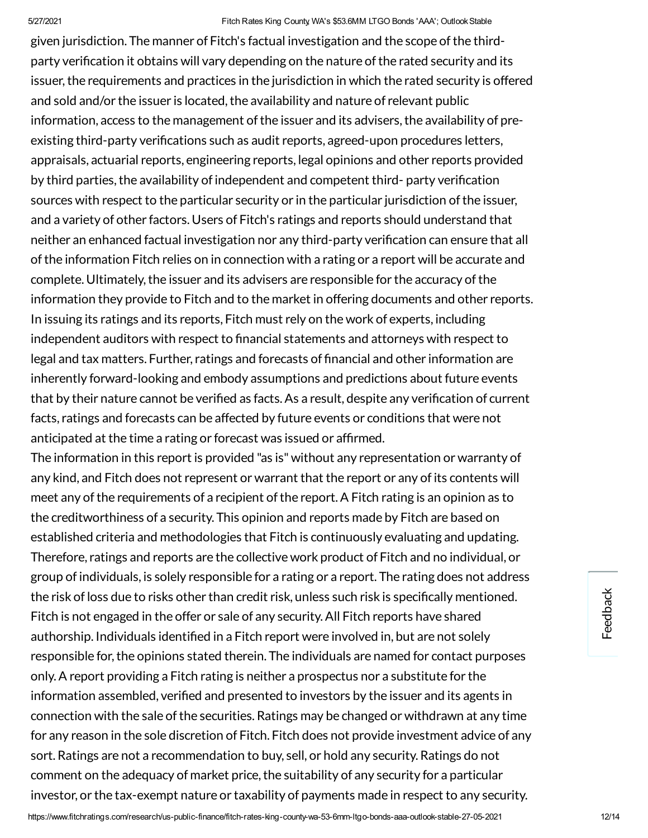given jurisdiction. The manner of Fitch's factual investigation and the scope ofthe thirdparty verification it obtains will vary depending on the nature of the rated security and its issuer, the requirements and practices in the jurisdiction in which the rated security is offered and sold and/or the issuer is located, the availability and nature of relevant public information, access to the management of the issuer and its advisers, the availability of preexisting third-party verifications such as audit reports, agreed-upon procedures letters, appraisals, actuarial reports, engineering reports, legal opinions and other reports provided by third parties, the availability of independent and competent third- party verification sources with respect to the particular security or in the particular jurisdiction of the issuer, and a variety of other factors. Users of Fitch's ratings and reports should understand that neither an enhanced factual investigation nor any third-party verification can ensure that all ofthe information Fitch relies on in connection with a rating or a report will be accurate and complete. Ultimately, the issuer and its advisers are responsible for the accuracy of the information they provide to Fitch and to the market in offering documents and other reports. In issuing its ratings and its reports, Fitch must rely on the work of experts, including independent auditors with respect to financial statements and attorneys with respect to legal and tax matters. Further, ratings and forecasts of financial and other information are inherently forward-looking and embody assumptions and predictions about future events that by their nature cannot be verified as facts. As a result, despite any verification of current facts, ratings and forecasts can be affected by future events or conditions that were not anticipated at the time a rating or forecast was issued or affirmed.

The information in this report is provided "as is" without any representation or warranty of any kind, and Fitch does not represent or warrant that the report or any of its contents will meet any of the requirements of a recipient of the report. A Fitch rating is an opinion as to the creditworthiness of a security. This opinion and reports made by Fitch are based on established criteria and methodologies that Fitch is continuously evaluating and updating. Therefore, ratings and reports are the collective work product of Fitch and no individual, or group of individuals, is solely responsible for a rating or a report. The rating does not address the risk of loss due to risks other than credit risk, unless such risk is specifically mentioned. Fitch is not engaged in the offer or sale of any security.All Fitch reports have shared authorship. Individuals identified in a Fitch report were involved in, but are not solely responsible for, the opinions stated therein. The individuals are named for contact purposes only.A report providing a Fitch rating is neither a prospectus nor a substitute for the information assembled, verified and presented to investors by the issuer and its agents in connection with the sale of the securities. Ratings may be changed or withdrawn at any time for any reason in the sole discretion of Fitch. Fitch does not provide investment advice of any sort. Ratings are not a recommendation to buy, sell, or hold any security. Ratings do not comment on the adequacy of market price, the suitability of any security for a particular investor, or the tax-exempt nature or taxability of payments made in respect to any security.

Feedback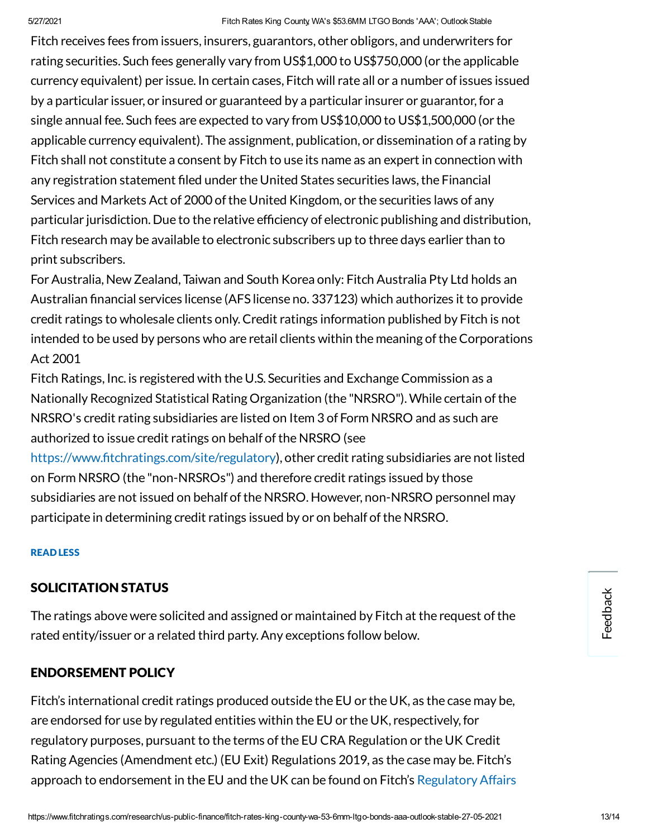Fitch receives fees from issuers, insurers, guarantors, other obligors, and underwriters for rating securities. Such fees generally vary from US\$1,000 to US\$750,000 (or the applicable currency equivalent) per issue. In certain cases, Fitch will rate all or a number of issues issued by a particular issuer, or insured or guaranteed by a particular insurer or guarantor,for a single annual fee. Such fees are expected to vary from US\$10,000 to US\$1,500,000 (or the applicable currency equivalent). The assignment, publication, or dissemination of a rating by Fitch shall not constitute a consent by Fitch to use its name as an expert in connection with any registration statement filed under the United States securities laws, the Financial Services and Markets Act of 2000 of the United Kingdom, or the securities laws of any particular jurisdiction. Due to the relative efficiency of electronic publishing and distribution, Fitch research may be available to electronic subscribers up to three days earlier than to print subscribers.

For Australia, New Zealand, Taiwan and South Korea only: Fitch Australia Pty Ltd holds an Australian financial services license (AFS license no. 337123) which authorizes it to provide credit ratings to wholesale clients only.Credit ratings information published by Fitch is not intended to be used by persons who are retail clients within the meaning of the Corporations Act 2001

Fitch Ratings, Inc. is registered with the U.S. Securities and Exchange Commission as a Nationally Recognized Statistical Rating Organization (the "NRSRO").While certain ofthe NRSRO's credit rating subsidiaries are listed on Item 3 of Form NRSRO and as such are authorized to issue credit ratings on behalf of the NRSRO (see

https://www.fitchratings.com/site/regulatory), other credit rating subsidiaries are not listed on Form NRSRO (the "non-NRSROs") and therefore credit ratings issued by those subsidiaries are not issued on behalf of the NRSRO. However, non-NRSRO personnel may participate in determining credit ratings issued by or on behalf of the NRSRO.

#### READ LESS

#### SOLICITATION STATUS

The ratings above were solicited and assigned or maintained by Fitch at the request of the rated entity/issuer or a related third party.Any exceptions follow below.

#### <span id="page-12-0"></span>ENDORSEMENT POLICY

Fitch's international credit ratings produced outside the EU or the UK, as the case may be, are endorsed for use by regulated entities within the EU or the UK, respectively,for regulatory purposes, pursuant to the terms of the EU CRA Regulation or the UK Credit Rating Agencies (Amendment etc.) (EU Exit) Regulations 2019, as the case may be. Fitch's approach to endorsement in the EU and the UK can be found on Fitch's [Regulatory](https://www.fitchratings.com/regulatory) Affairs